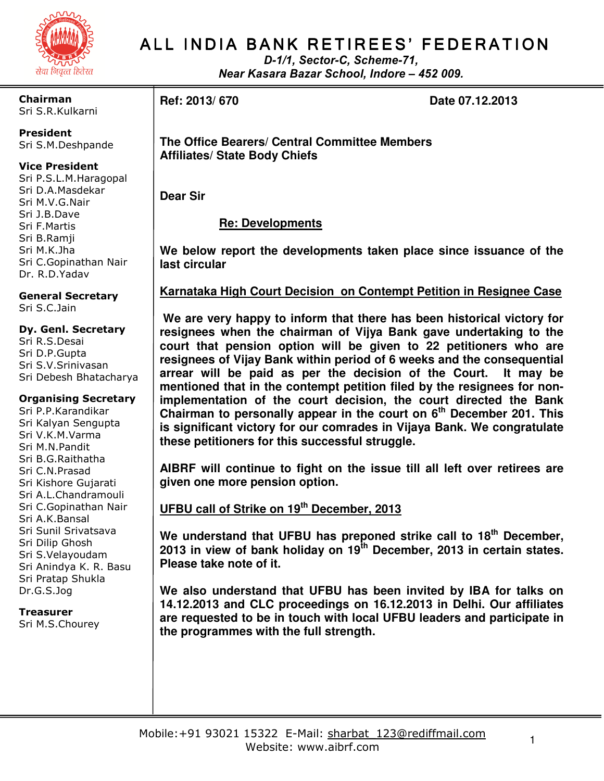

Chairman Sri S.R.Kulkarni

President Sri S.M.Deshpande

#### Vice President

Sri P.S.L.M.Haragopal Sri D.A.Masdekar Sri M.V.G.Nair Sri J.B.Dave Sri F.Martis Sri B.Ramji Sri M.K.Jha Sri C.Gopinathan Nair Dr. R.D.Yadav

General Secretary Sri S.C.Jain

#### Dy. Genl. Secretary Sri R.S.Desai Sri D.P.Gupta Sri S.V.Srinivasan Sri Debesh Bhatacharya

#### Organising Secretary

Sri P.P.Karandikar Sri Kalyan Sengupta Sri V.K.M.Varma Sri M.N.Pandit Sri B.G.Raithatha Sri C.N.Prasad Sri Kishore Gujarati Sri A.L.Chandramouli Sri C.Gopinathan Nair Sri A.K.Bansal Sri Sunil Srivatsava Sri Dilip Ghosh Sri S.Velayoudam Sri Anindya K. R. Basu Sri Pratap Shukla Dr.G.S.Jog

Treasurer Sri M.S.Chourey

# ALL INDIA BANK RETIREES' FEDERATION

D-1/1, Sector-C, Scheme-71, Near Kasara Bazar School, Indore – 452 009.

**Ref: 2013/ 670 Date 07.12.2013** 

**The Office Bearers/ Central Committee Members Affiliates/ State Body Chiefs** 

**Dear Sir** 

 **Re: Developments**

**We below report the developments taken place since issuance of the last circular** 

### **Karnataka High Court Decision on Contempt Petition in Resignee Case**

 **We are very happy to inform that there has been historical victory for resignees when the chairman of Vijya Bank gave undertaking to the court that pension option will be given to 22 petitioners who are resignees of Vijay Bank within period of 6 weeks and the consequential arrear will be paid as per the decision of the Court. It may be mentioned that in the contempt petition filed by the resignees for nonimplementation of the court decision, the court directed the Bank Chairman to personally appear in the court on 6th December 201. This is significant victory for our comrades in Vijaya Bank. We congratulate these petitioners for this successful struggle.** 

**AIBRF will continue to fight on the issue till all left over retirees are given one more pension option.** 

## **UFBU call of Strike on 19th December, 2013**

**We understand that UFBU has preponed strike call to 18th December, 2013 in view of bank holiday on 19th December, 2013 in certain states. Please take note of it.** 

**We also understand that UFBU has been invited by IBA for talks on 14.12.2013 and CLC proceedings on 16.12.2013 in Delhi. Our affiliates are requested to be in touch with local UFBU leaders and participate in the programmes with the full strength.**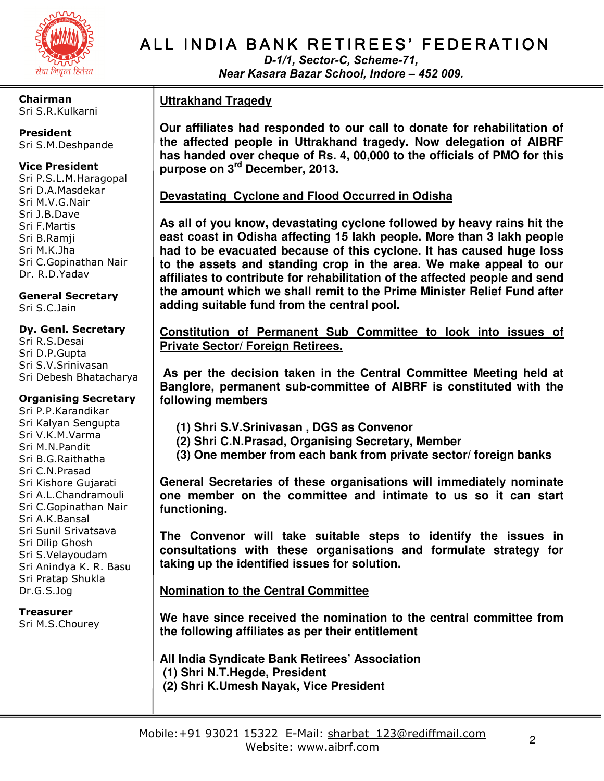

Chairman Sri S.R.Kulkarni

President Sri S.M.Deshpande

#### Vice President

Sri P.S.L.M.Haragopal Sri D.A.Masdekar Sri M.V.G.Nair Sri J.B.Dave Sri F.Martis Sri B.Ramji Sri M.K.Jha Sri C.Gopinathan Nair Dr. R.D.Yadav

General Secretary Sri S.C.Jain

#### Dy. Genl. Secretary

Sri R.S.Desai Sri D.P.Gupta Sri S.V.Srinivasan Sri Debesh Bhatacharya

#### Organising Secretary

Sri P.P.Karandikar Sri Kalyan Sengupta Sri V.K.M.Varma Sri M.N.Pandit Sri B.G.Raithatha Sri C.N.Prasad Sri Kishore Gujarati Sri A.L.Chandramouli Sri C.Gopinathan Nair Sri A.K.Bansal Sri Sunil Srivatsava Sri Dilip Ghosh Sri S.Velayoudam Sri Anindya K. R. Basu Sri Pratap Shukla Dr.G.S.Jog

#### Treasurer

Sri M.S.Chourey

# ALL INDIA BANK RETIREES' FEDERATION

D-1/1, Sector-C, Scheme-71, Near Kasara Bazar School, Indore – 452 009.

### **Uttrakhand Tragedy**

**Our affiliates had responded to our call to donate for rehabilitation of the affected people in Uttrakhand tragedy. Now delegation of AIBRF has handed over cheque of Rs. 4, 00,000 to the officials of PMO for this purpose on 3rd December, 2013.** 

#### **Devastating Cyclone and Flood Occurred in Odisha**

**As all of you know, devastating cyclone followed by heavy rains hit the east coast in Odisha affecting 15 lakh people. More than 3 lakh people had to be evacuated because of this cyclone. It has caused huge loss to the assets and standing crop in the area. We make appeal to our affiliates to contribute for rehabilitation of the affected people and send the amount which we shall remit to the Prime Minister Relief Fund after adding suitable fund from the central pool.** 

**Constitution of Permanent Sub Committee to look into issues of Private Sector/ Foreign Retirees.**

 **As per the decision taken in the Central Committee Meeting held at Banglore, permanent sub-committee of AIBRF is constituted with the following members** 

- **(1) Shri S.V.Srinivasan , DGS as Convenor**
- **(2) Shri C.N.Prasad, Organising Secretary, Member**
- **(3) One member from each bank from private sector/ foreign banks**

**General Secretaries of these organisations will immediately nominate one member on the committee and intimate to us so it can start functioning.** 

**The Convenor will take suitable steps to identify the issues in consultations with these organisations and formulate strategy for taking up the identified issues for solution.** 

### **Nomination to the Central Committee**

**We have since received the nomination to the central committee from the following affiliates as per their entitlement** 

**All India Syndicate Bank Retirees' Association (1) Shri N.T.Hegde, President (2) Shri K.Umesh Nayak, Vice President**